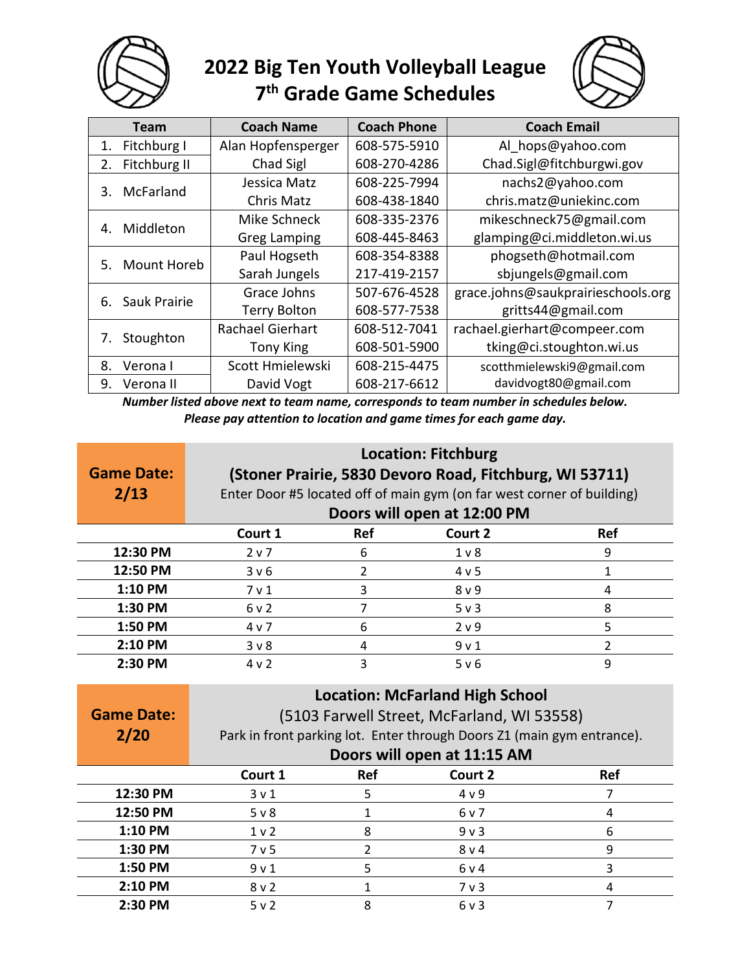

## **2022 Big Ten Youth Volleyball League 7 th Grade Game Schedules**



|    | Team         | <b>Coach Name</b>       | <b>Coach Phone</b> | <b>Coach Email</b>                 |
|----|--------------|-------------------------|--------------------|------------------------------------|
| 1. | Fitchburg I  | Alan Hopfensperger      | 608-575-5910       | Al hops@yahoo.com                  |
| 2. | Fitchburg II | Chad Sigl               | 608-270-4286       | Chad.Sigl@fitchburgwi.gov          |
|    | McFarland    | Jessica Matz            | 608-225-7994       | nachs2@yahoo.com                   |
| 3. |              | Chris Matz              | 608-438-1840       | chris.matz@uniekinc.com            |
|    | Middleton    | Mike Schneck            | 608-335-2376       | mikeschneck75@gmail.com            |
| 4. |              | <b>Greg Lamping</b>     | 608-445-8463       | glamping@ci.middleton.wi.us        |
|    | Mount Horeb  | Paul Hogseth            | 608-354-8388       | phogseth@hotmail.com               |
| 5. |              | Sarah Jungels           | 217-419-2157       | sbjungels@gmail.com                |
| 6. | Sauk Prairie | Grace Johns             | 507-676-4528       | grace.johns@saukprairieschools.org |
|    |              | <b>Terry Bolton</b>     | 608-577-7538       | gritts44@gmail.com                 |
|    | Stoughton    | <b>Rachael Gierhart</b> | 608-512-7041       | rachael.gierhart@compeer.com       |
| 7. |              | <b>Tony King</b>        | 608-501-5900       | tking@ci.stoughton.wi.us           |
| 8. | Verona I     | Scott Hmielewski        | 608-215-4475       | scotthmielewski9@gmail.com         |
| 9. | Verona II    | David Vogt              | 608-217-6612       | davidvogt80@gmail.com              |

*Number listed above next to team name, corresponds to team number in schedules below. Please pay attention to location and game times for each game day.*

|                   | <b>Location: Fitchburg</b>                              |                                                                        |                                                                        |                |  |  |  |
|-------------------|---------------------------------------------------------|------------------------------------------------------------------------|------------------------------------------------------------------------|----------------|--|--|--|
| <b>Game Date:</b> | (Stoner Prairie, 5830 Devoro Road, Fitchburg, WI 53711) |                                                                        |                                                                        |                |  |  |  |
| 2/13              |                                                         | Enter Door #5 located off of main gym (on far west corner of building) |                                                                        |                |  |  |  |
|                   |                                                         | Doors will open at 12:00 PM                                            |                                                                        |                |  |  |  |
|                   | Court 1                                                 | <b>Ref</b><br>Court 2<br><b>Ref</b>                                    |                                                                        |                |  |  |  |
| 12:30 PM          | 2 <sub>v</sub>                                          | 6                                                                      | 1 <sub>v</sub>                                                         | 9              |  |  |  |
| 12:50 PM          | 3v6                                                     | $\overline{2}$                                                         | 4 v 5                                                                  | $\mathbf{1}$   |  |  |  |
| 1:10 PM           | 7 <sub>v</sub> 1                                        | 3                                                                      | 8 <sub>v</sub> 9                                                       | 4              |  |  |  |
| 1:30 PM           | 6v2                                                     | $\overline{7}$                                                         | $5v$ 3                                                                 | 8              |  |  |  |
| 1:50 PM           | 4 v 7                                                   | 6                                                                      | 2 v 9                                                                  | 5              |  |  |  |
| 2:10 PM           | 3 <sub>v</sub>                                          | 4                                                                      | 9 <sub>v</sub> 1                                                       | $\overline{2}$ |  |  |  |
| 2:30 PM           | 4v2                                                     | 3                                                                      | 5 v 6                                                                  | 9              |  |  |  |
|                   |                                                         |                                                                        |                                                                        |                |  |  |  |
|                   |                                                         |                                                                        |                                                                        |                |  |  |  |
| <b>Game Date:</b> |                                                         |                                                                        | <b>Location: McFarland High School</b>                                 |                |  |  |  |
|                   |                                                         |                                                                        | (5103 Farwell Street, McFarland, WI 53558)                             |                |  |  |  |
| 2/20              |                                                         |                                                                        | Park in front parking lot. Enter through Doors Z1 (main gym entrance). |                |  |  |  |
|                   | Court 1                                                 | <b>Ref</b>                                                             | Doors will open at 11:15 AM<br>Court 2                                 | <b>Ref</b>     |  |  |  |
| 12:30 PM          | 3 <sub>v</sub> 1                                        | 5                                                                      | 4v9                                                                    | $\overline{7}$ |  |  |  |
| 12:50 PM          | $5v$ 8                                                  | $\mathbf{1}$                                                           | 6 v 7                                                                  | 4              |  |  |  |
| 1:10 PM           | 1 <sub>v</sub>                                          | 8                                                                      | 9 <sub>v</sub>                                                         | 6              |  |  |  |
| 1:30 PM           | 7 <sub>v</sub> 5                                        | $\overline{2}$                                                         | 8 <sub>v</sub> 4                                                       | 9              |  |  |  |
| 1:50 PM           | 9 <sub>v</sub> 1                                        | 5                                                                      | 6v4                                                                    | 3              |  |  |  |
| 2:10 PM           | $8v$ 2                                                  | 1                                                                      | 7 <sub>v</sub>                                                         | 4              |  |  |  |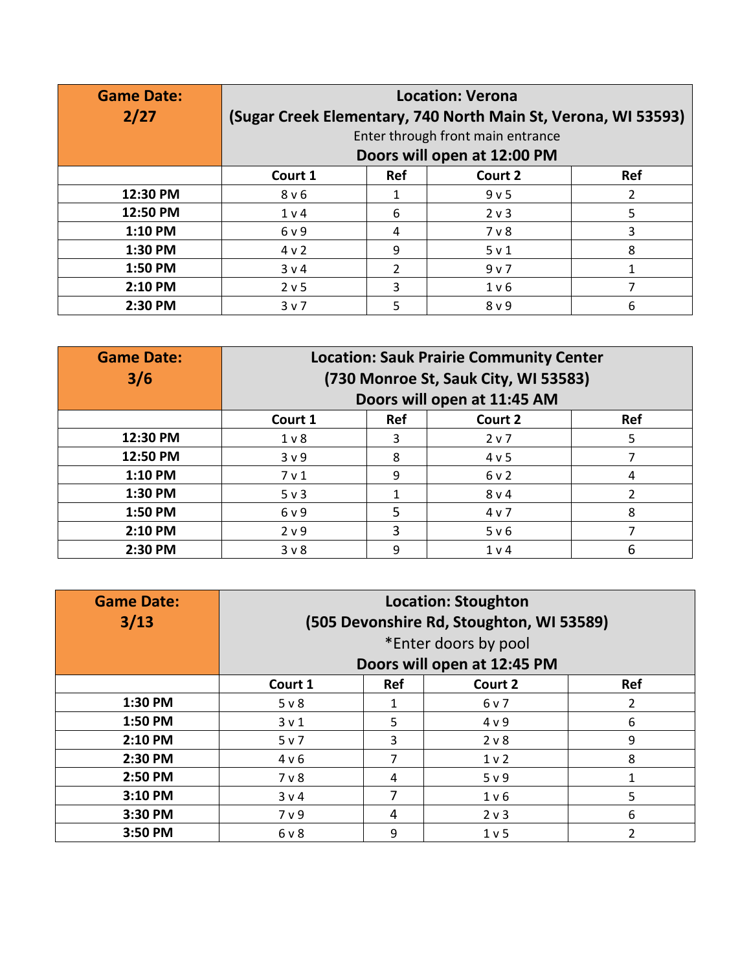| <b>Game Date:</b> | <b>Location: Verona</b>                                       |               |                  |            |
|-------------------|---------------------------------------------------------------|---------------|------------------|------------|
| 2/27              | (Sugar Creek Elementary, 740 North Main St, Verona, WI 53593) |               |                  |            |
|                   | Enter through front main entrance                             |               |                  |            |
|                   | Doors will open at 12:00 PM                                   |               |                  |            |
|                   | Court 1                                                       | <b>Ref</b>    | Court 2          | <b>Ref</b> |
| 12:30 PM          | 8 <sub>v</sub> 6                                              |               | 9 v 5            | 2          |
| 12:50 PM          | 1 v 4                                                         | 6             | 2 <sub>v</sub> 3 | 5          |
| 1:10 PM           | 6 v 9                                                         | 4             | $7v$ 8           | 3          |
| 1:30 PM           | 4 v 2                                                         | 9             | 5 v 1            | 8          |
| 1:50 PM           | 3 v 4                                                         | $\mathcal{P}$ | 9 v 7            |            |
| 2:10 PM           | 2 v 5                                                         | 3             | 1 v 6            |            |
| 2:30 PM           | 3 v 7                                                         | 5             | 8 <sub>v</sub> 9 | 6          |

| <b>Game Date:</b><br>3/6 | <b>Location: Sauk Prairie Community Center</b><br>(730 Monroe St, Sauk City, WI 53583)<br>Doors will open at 11:45 AM |     |                |     |
|--------------------------|-----------------------------------------------------------------------------------------------------------------------|-----|----------------|-----|
|                          | Court 1                                                                                                               | Ref | Court 2        | Ref |
| 12:30 PM                 | 1 <sub>v</sub>                                                                                                        | 3   | 2 v 7          | 5   |
| 12:50 PM                 | 3 <sub>v</sub> 9                                                                                                      | 8   | 4 v 5          |     |
| 1:10 PM                  | 7 <sub>v</sub> 1                                                                                                      | 9   | 6v2            | 4   |
| 1:30 PM                  | $5v$ 3                                                                                                                |     | 8 v 4          | 2   |
| 1:50 PM                  | 6 v 9                                                                                                                 | 5   | 4 v 7          | 8   |
| 2:10 PM                  | 2 <sub>v</sub> 9                                                                                                      | 3   | 5 v 6          |     |
| 2:30 PM                  | 3 <sub>v</sub>                                                                                                        | 9   | 1 <sub>v</sub> | 6   |

| <b>Game Date:</b> | <b>Location: Stoughton</b>                    |     |                  |            |  |
|-------------------|-----------------------------------------------|-----|------------------|------------|--|
| 3/13              | (505 Devonshire Rd, Stoughton, WI 53589)      |     |                  |            |  |
|                   | *Enter doors by pool                          |     |                  |            |  |
|                   | Doors will open at 12:45 PM                   |     |                  |            |  |
|                   | Court 1                                       | Ref | Court 2          | <b>Ref</b> |  |
| 1:30 PM           | $5v$ 8                                        |     | 6 v 7            | 2          |  |
| 1:50 PM           | 3 <sub>v</sub> 1                              | 5   | 4 v 9            | 6          |  |
| 2:10 PM           | 5 v 7                                         | 3   | 2 <sub>v</sub>   | 9          |  |
| 2:30 PM           | 4 v 6                                         | 7   | 1 <sub>v</sub>   | 8          |  |
| 2:50 PM           | $7v$ 8                                        | 4   | 5 v 9            |            |  |
| 3:10 PM           | 3 v 4                                         | 7   | 1 <sub>v</sub> 6 | 5          |  |
| 3:30 PM           | 7 <sub>v</sub> 9                              | 4   | 2 <sub>v</sub>   | 6          |  |
| 3:50 PM           | 9<br>$\mathcal{P}$<br>6 v 8<br>1 <sub>v</sub> |     |                  |            |  |